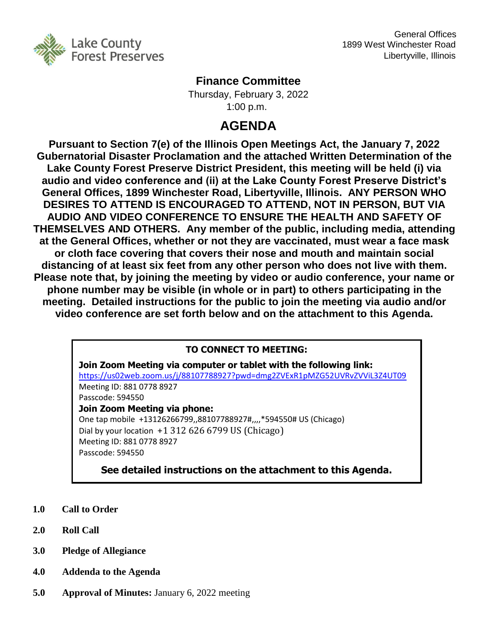

## **Finance Committee**

Thursday, February 3, 2022 1:00 p.m.

# **AGENDA**

**Pursuant to Section 7(e) of the Illinois Open Meetings Act, the January 7, 2022 Gubernatorial Disaster Proclamation and the attached Written Determination of the Lake County Forest Preserve District President, this meeting will be held (i) via audio and video conference and (ii) at the Lake County Forest Preserve District's General Offices, 1899 Winchester Road, Libertyville, Illinois. ANY PERSON WHO DESIRES TO ATTEND IS ENCOURAGED TO ATTEND, NOT IN PERSON, BUT VIA AUDIO AND VIDEO CONFERENCE TO ENSURE THE HEALTH AND SAFETY OF THEMSELVES AND OTHERS. Any member of the public, including media, attending at the General Offices, whether or not they are vaccinated, must wear a face mask or cloth face covering that covers their nose and mouth and maintain social distancing of at least six feet from any other person who does not live with them. Please note that, by joining the meeting by video or audio conference, your name or phone number may be visible (in whole or in part) to others participating in the meeting. Detailed instructions for the public to join the meeting via audio and/or video conference are set forth below and on the attachment to this Agenda.**

## **TO CONNECT TO MEETING:**

**Join Zoom Meeting via computer or tablet with the following link:** <https://us02web.zoom.us/j/88107788927?pwd=dmg2ZVExR1pMZG52UVRvZVViL3Z4UT09> Meeting ID: 881 0778 8927 Passcode: 594550 **Join Zoom Meeting via phone:** One tap mobile +13126266799,,88107788927#,,,,\*594550# US (Chicago) Dial by your location +1 312 626 6799 US (Chicago) Meeting ID: 881 0778 8927 Passcode: 594550

**See detailed instructions on the attachment to this Agenda.**

- **1.0 Call to Order**
- **2.0 Roll Call**
- **3.0 Pledge of Allegiance**
- **4.0 Addenda to the Agenda**
- **5.0 Approval of Minutes:** January 6, 2022 meeting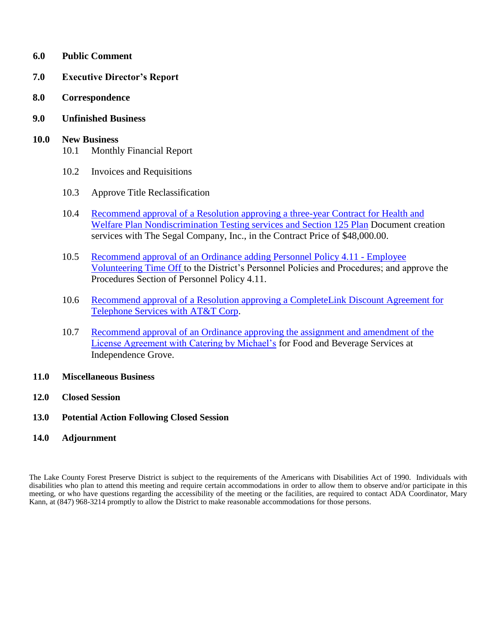- **6.0 Public Comment**
- **7.0 Executive Director's Report**
- **8.0 Correspondence**
- **9.0 Unfinished Business**

#### **10.0 New Business**

- 10.1 Monthly Financial Report
- 10.2 Invoices and Requisitions
- 10.3 Approve Title Reclassification
- 10.4 Recommend approval of a Resolution approving a three-year Contract for Health and [Welfare Plan Nondiscrimination Testing services and Section 125 Plan](http://www.lcfpd.org/assets/1/28/10.4_Resolution_Contract_with_Segal.pdf) Document creation services with The Segal Company, Inc., in the Contract Price of \$48,000.00.
- 10.5 [Recommend approval of an Ordinance adding Personnel Policy 4.11 -](http://www.lcfpd.org/assets/1/28/Policy_4.11_Volunteering_Time_Off.pdf) Employee [Volunteering Time Off t](http://www.lcfpd.org/assets/1/28/Policy_4.11_Volunteering_Time_Off.pdf)o the District's Personnel Policies and Procedures; and approve the Procedures Section of Personnel Policy 4.11.
- 10.6 Recommend approval of [a Resolution approving a CompleteLink Discount Agreement for](http://www.lcfpd.org/assets/1/28/CompleteLink.pdf)  [Telephone Services with AT&T Corp.](http://www.lcfpd.org/assets/1/28/CompleteLink.pdf)
- 10.7 [Recommend approval of an Ordinance approving the assignment and amendment of the](http://www.lcfpd.org/assets/1/28/CBM.pdf) [License Agreement with Catering by Michael's](http://www.lcfpd.org/assets/1/28/CBM.pdf) for Food and Beverage Services at Independence Grove.
- **11.0 Miscellaneous Business**
- **12.0 Closed Session**
- **13.0 Potential Action Following Closed Session**
- **14.0 Adjournment**

The Lake County Forest Preserve District is subject to the requirements of the Americans with Disabilities Act of 1990. Individuals with disabilities who plan to attend this meeting and require certain accommodations in order to allow them to observe and/or participate in this meeting, or who have questions regarding the accessibility of the meeting or the facilities, are required to contact ADA Coordinator, Mary Kann, at (847) 968-3214 promptly to allow the District to make reasonable accommodations for those persons.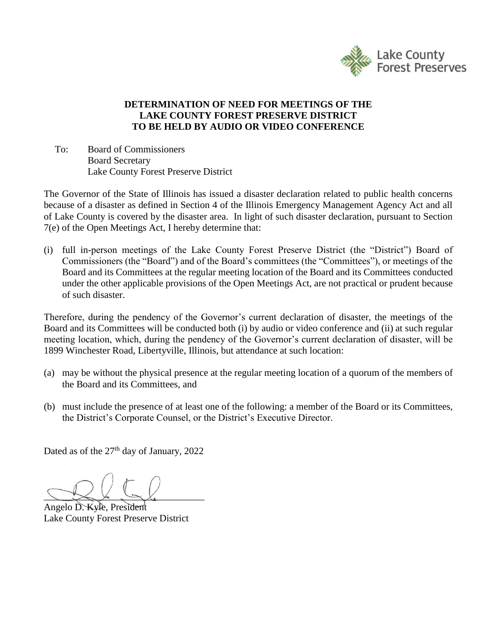

### **DETERMINATION OF NEED FOR MEETINGS OF THE LAKE COUNTY FOREST PRESERVE DISTRICT TO BE HELD BY AUDIO OR VIDEO CONFERENCE**

To: Board of Commissioners Board Secretary Lake County Forest Preserve District

The Governor of the State of Illinois has issued a disaster declaration related to public health concerns because of a disaster as defined in Section 4 of the Illinois Emergency Management Agency Act and all of Lake County is covered by the disaster area. In light of such disaster declaration, pursuant to Section 7(e) of the Open Meetings Act, I hereby determine that:

(i) full in-person meetings of the Lake County Forest Preserve District (the "District") Board of Commissioners (the "Board") and of the Board's committees (the "Committees"), or meetings of the Board and its Committees at the regular meeting location of the Board and its Committees conducted under the other applicable provisions of the Open Meetings Act, are not practical or prudent because of such disaster.

Therefore, during the pendency of the Governor's current declaration of disaster, the meetings of the Board and its Committees will be conducted both (i) by audio or video conference and (ii) at such regular meeting location, which, during the pendency of the Governor's current declaration of disaster, will be 1899 Winchester Road, Libertyville, Illinois, but attendance at such location:

- (a) may be without the physical presence at the regular meeting location of a quorum of the members of the Board and its Committees, and
- (b) must include the presence of at least one of the following: a member of the Board or its Committees, the District's Corporate Counsel, or the District's Executive Director.

Dated as of the  $27<sup>th</sup>$  day of January, 2022

 $\bigcup_{i=1}^n A_i$ 

Angelo D. Kyle, President Lake County Forest Preserve District